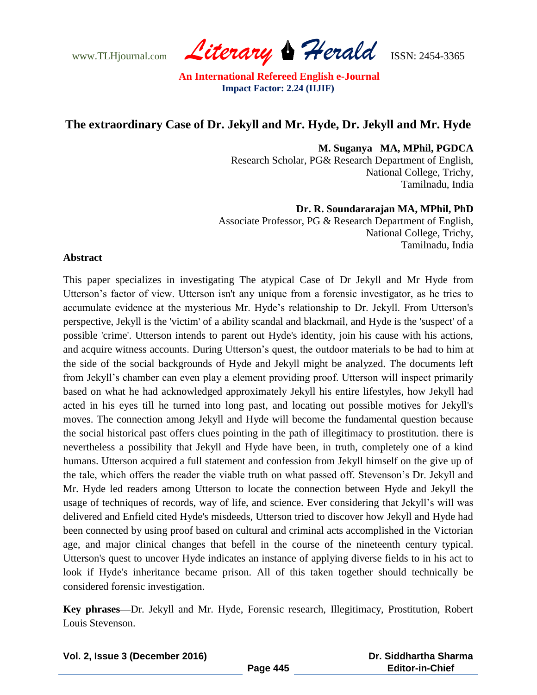www.TLHjournal.com *Literary Herald*ISSN: 2454-3365

## **The extraordinary Case of Dr. Jekyll and Mr. Hyde, Dr. Jekyll and Mr. Hyde**

**M. Suganya MA, MPhil, PGDCA** 

Research Scholar, PG& Research Department of English, National College, Trichy, Tamilnadu, India

**Dr. R. Soundararajan MA, MPhil, PhD** 

Associate Professor, PG & Research Department of English, National College, Trichy, Tamilnadu, India

#### **Abstract**

This paper specializes in investigating The atypical Case of Dr Jekyll and Mr Hyde from Utterson"s factor of view. Utterson isn't any unique from a forensic investigator, as he tries to accumulate evidence at the mysterious Mr. Hyde"s relationship to Dr. Jekyll. From Utterson's perspective, Jekyll is the 'victim' of a ability scandal and blackmail, and Hyde is the 'suspect' of a possible 'crime'. Utterson intends to parent out Hyde's identity, join his cause with his actions, and acquire witness accounts. During Utterson"s quest, the outdoor materials to be had to him at the side of the social backgrounds of Hyde and Jekyll might be analyzed. The documents left from Jekyll"s chamber can even play a element providing proof. Utterson will inspect primarily based on what he had acknowledged approximately Jekyll his entire lifestyles, how Jekyll had acted in his eyes till he turned into long past, and locating out possible motives for Jekyll's moves. The connection among Jekyll and Hyde will become the fundamental question because the social historical past offers clues pointing in the path of illegitimacy to prostitution. there is nevertheless a possibility that Jekyll and Hyde have been, in truth, completely one of a kind humans. Utterson acquired a full statement and confession from Jekyll himself on the give up of the tale, which offers the reader the viable truth on what passed off. Stevenson"s Dr. Jekyll and Mr. Hyde led readers among Utterson to locate the connection between Hyde and Jekyll the usage of techniques of records, way of life, and science. Ever considering that Jekyll"s will was delivered and Enfield cited Hyde's misdeeds, Utterson tried to discover how Jekyll and Hyde had been connected by using proof based on cultural and criminal acts accomplished in the Victorian age, and major clinical changes that befell in the course of the nineteenth century typical. Utterson's quest to uncover Hyde indicates an instance of applying diverse fields to in his act to look if Hyde's inheritance became prison. All of this taken together should technically be considered forensic investigation.

**Key phrases—**Dr. Jekyll and Mr. Hyde, Forensic research, Illegitimacy, Prostitution, Robert Louis Stevenson.

**Vol. 2, Issue 3 (December 2016)**

 **Dr. Siddhartha Sharma Editor-in-Chief**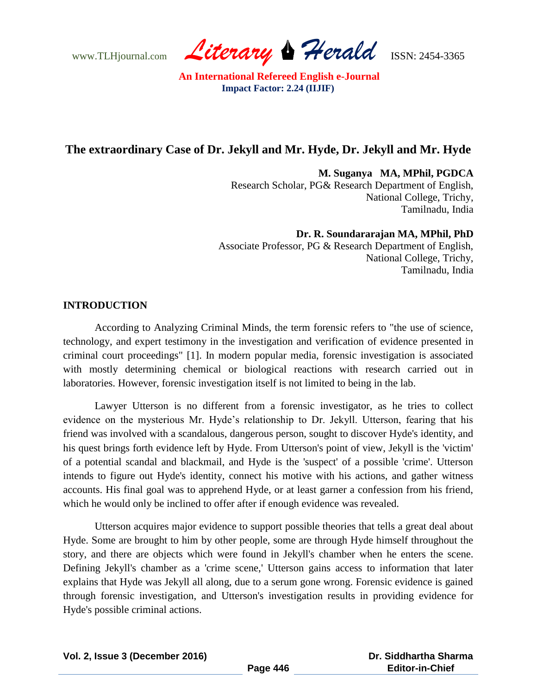www.TLHjournal.com *Literary Herald*ISSN: 2454-3365

# **The extraordinary Case of Dr. Jekyll and Mr. Hyde, Dr. Jekyll and Mr. Hyde**

**M. Suganya MA, MPhil, PGDCA**  Research Scholar, PG& Research Department of English,

National College, Trichy, Tamilnadu, India

**Dr. R. Soundararajan MA, MPhil, PhD** 

Associate Professor, PG & Research Department of English, National College, Trichy, Tamilnadu, India

## **INTRODUCTION**

According to Analyzing Criminal Minds, the term forensic refers to "the use of science, technology, and expert testimony in the investigation and verification of evidence presented in criminal court proceedings" [1]. In modern popular media, forensic investigation is associated with mostly determining chemical or biological reactions with research carried out in laboratories. However, forensic investigation itself is not limited to being in the lab.

Lawyer Utterson is no different from a forensic investigator, as he tries to collect evidence on the mysterious Mr. Hyde"s relationship to Dr. Jekyll. Utterson, fearing that his friend was involved with a scandalous, dangerous person, sought to discover Hyde's identity, and his quest brings forth evidence left by Hyde. From Utterson's point of view, Jekyll is the 'victim' of a potential scandal and blackmail, and Hyde is the 'suspect' of a possible 'crime'. Utterson intends to figure out Hyde's identity, connect his motive with his actions, and gather witness accounts. His final goal was to apprehend Hyde, or at least garner a confession from his friend, which he would only be inclined to offer after if enough evidence was revealed.

Utterson acquires major evidence to support possible theories that tells a great deal about Hyde. Some are brought to him by other people, some are through Hyde himself throughout the story, and there are objects which were found in Jekyll's chamber when he enters the scene. Defining Jekyll's chamber as a 'crime scene,' Utterson gains access to information that later explains that Hyde was Jekyll all along, due to a serum gone wrong. Forensic evidence is gained through forensic investigation, and Utterson's investigation results in providing evidence for Hyde's possible criminal actions.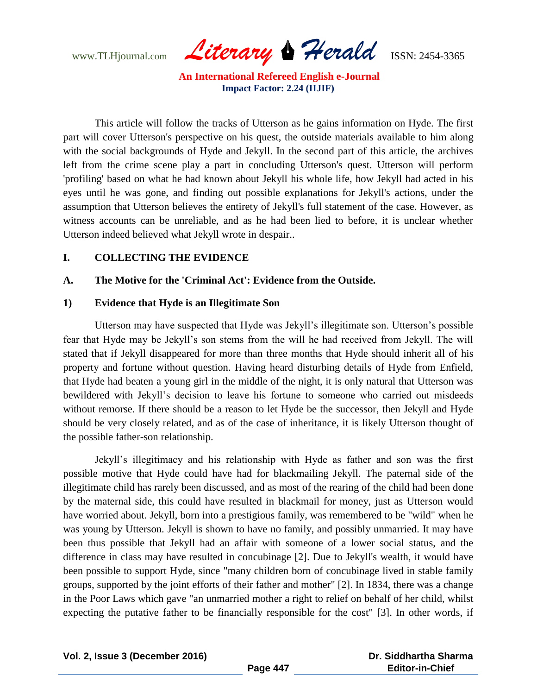www.TLHjournal.com *Literary Herald*ISSN: 2454-3365

This article will follow the tracks of Utterson as he gains information on Hyde. The first part will cover Utterson's perspective on his quest, the outside materials available to him along with the social backgrounds of Hyde and Jekyll. In the second part of this article, the archives left from the crime scene play a part in concluding Utterson's quest. Utterson will perform 'profiling' based on what he had known about Jekyll his whole life, how Jekyll had acted in his eyes until he was gone, and finding out possible explanations for Jekyll's actions, under the assumption that Utterson believes the entirety of Jekyll's full statement of the case. However, as witness accounts can be unreliable, and as he had been lied to before, it is unclear whether Utterson indeed believed what Jekyll wrote in despair..

### **I. COLLECTING THE EVIDENCE**

## **A. The Motive for the 'Criminal Act': Evidence from the Outside.**

### **1) Evidence that Hyde is an Illegitimate Son**

Utterson may have suspected that Hyde was Jekyll"s illegitimate son. Utterson"s possible fear that Hyde may be Jekyll"s son stems from the will he had received from Jekyll. The will stated that if Jekyll disappeared for more than three months that Hyde should inherit all of his property and fortune without question. Having heard disturbing details of Hyde from Enfield, that Hyde had beaten a young girl in the middle of the night, it is only natural that Utterson was bewildered with Jekyll"s decision to leave his fortune to someone who carried out misdeeds without remorse. If there should be a reason to let Hyde be the successor, then Jekyll and Hyde should be very closely related, and as of the case of inheritance, it is likely Utterson thought of the possible father-son relationship.

Jekyll"s illegitimacy and his relationship with Hyde as father and son was the first possible motive that Hyde could have had for blackmailing Jekyll. The paternal side of the illegitimate child has rarely been discussed, and as most of the rearing of the child had been done by the maternal side, this could have resulted in blackmail for money, just as Utterson would have worried about. Jekyll, born into a prestigious family, was remembered to be "wild" when he was young by Utterson. Jekyll is shown to have no family, and possibly unmarried. It may have been thus possible that Jekyll had an affair with someone of a lower social status, and the difference in class may have resulted in concubinage [2]. Due to Jekyll's wealth, it would have been possible to support Hyde, since "many children born of concubinage lived in stable family groups, supported by the joint efforts of their father and mother" [2]. In 1834, there was a change in the Poor Laws which gave "an unmarried mother a right to relief on behalf of her child, whilst expecting the putative father to be financially responsible for the cost" [3]. In other words, if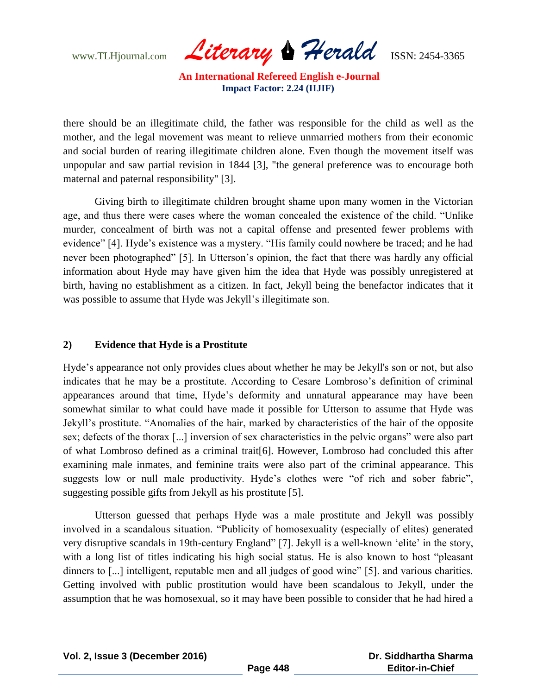www.TLHjournal.com *Literary Herald*ISSN: 2454-3365

there should be an illegitimate child, the father was responsible for the child as well as the mother, and the legal movement was meant to relieve unmarried mothers from their economic and social burden of rearing illegitimate children alone. Even though the movement itself was unpopular and saw partial revision in 1844 [3], "the general preference was to encourage both maternal and paternal responsibility" [3].

Giving birth to illegitimate children brought shame upon many women in the Victorian age, and thus there were cases where the woman concealed the existence of the child. "Unlike murder, concealment of birth was not a capital offense and presented fewer problems with evidence" [4]. Hyde"s existence was a mystery. "His family could nowhere be traced; and he had never been photographed" [5]. In Utterson"s opinion, the fact that there was hardly any official information about Hyde may have given him the idea that Hyde was possibly unregistered at birth, having no establishment as a citizen. In fact, Jekyll being the benefactor indicates that it was possible to assume that Hyde was Jekyll's illegitimate son.

#### **2) Evidence that Hyde is a Prostitute**

Hyde"s appearance not only provides clues about whether he may be Jekyll's son or not, but also indicates that he may be a prostitute. According to Cesare Lombroso's definition of criminal appearances around that time, Hyde's deformity and unnatural appearance may have been somewhat similar to what could have made it possible for Utterson to assume that Hyde was Jekyll"s prostitute. "Anomalies of the hair, marked by characteristics of the hair of the opposite sex; defects of the thorax [...] inversion of sex characteristics in the pelvic organs" were also part of what Lombroso defined as a criminal trait[6]. However, Lombroso had concluded this after examining male inmates, and feminine traits were also part of the criminal appearance. This suggests low or null male productivity. Hyde's clothes were "of rich and sober fabric", suggesting possible gifts from Jekyll as his prostitute [5].

Utterson guessed that perhaps Hyde was a male prostitute and Jekyll was possibly involved in a scandalous situation. "Publicity of homosexuality (especially of elites) generated very disruptive scandals in 19th-century England" [7]. Jekyll is a well-known "elite" in the story, with a long list of titles indicating his high social status. He is also known to host "pleasant" dinners to [...] intelligent, reputable men and all judges of good wine" [5]. and various charities. Getting involved with public prostitution would have been scandalous to Jekyll, under the assumption that he was homosexual, so it may have been possible to consider that he had hired a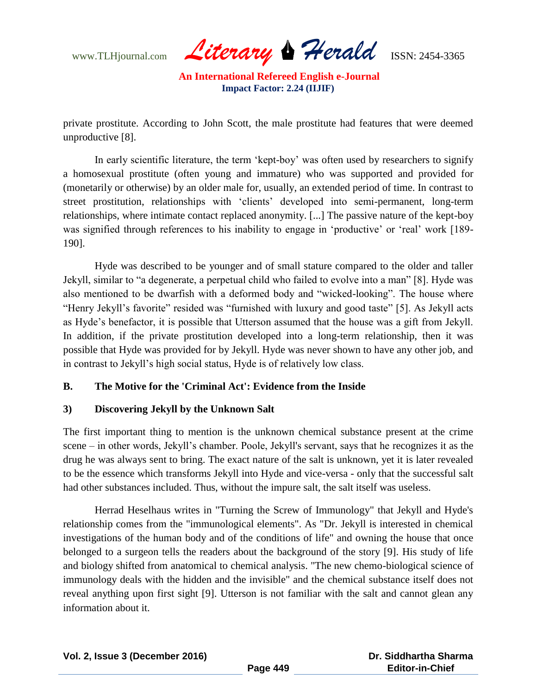www.TLHjournal.com *Literary Herald*ISSN: 2454-3365

private prostitute. According to John Scott, the male prostitute had features that were deemed unproductive [8].

In early scientific literature, the term "kept-boy" was often used by researchers to signify a homosexual prostitute (often young and immature) who was supported and provided for (monetarily or otherwise) by an older male for, usually, an extended period of time. In contrast to street prostitution, relationships with "clients" developed into semi-permanent, long-term relationships, where intimate contact replaced anonymity. [...] The passive nature of the kept-boy was signified through references to his inability to engage in 'productive' or 'real' work [189-190].

Hyde was described to be younger and of small stature compared to the older and taller Jekyll, similar to "a degenerate, a perpetual child who failed to evolve into a man" [8]. Hyde was also mentioned to be dwarfish with a deformed body and "wicked-looking". The house where "Henry Jekyll"s favorite" resided was "furnished with luxury and good taste" [5]. As Jekyll acts as Hyde"s benefactor, it is possible that Utterson assumed that the house was a gift from Jekyll. In addition, if the private prostitution developed into a long-term relationship, then it was possible that Hyde was provided for by Jekyll. Hyde was never shown to have any other job, and in contrast to Jekyll"s high social status, Hyde is of relatively low class.

### **B. The Motive for the 'Criminal Act': Evidence from the Inside**

### **3) Discovering Jekyll by the Unknown Salt**

The first important thing to mention is the unknown chemical substance present at the crime scene – in other words, Jekyll"s chamber. Poole, Jekyll's servant, says that he recognizes it as the drug he was always sent to bring. The exact nature of the salt is unknown, yet it is later revealed to be the essence which transforms Jekyll into Hyde and vice-versa - only that the successful salt had other substances included. Thus, without the impure salt, the salt itself was useless.

Herrad Heselhaus writes in "Turning the Screw of Immunology" that Jekyll and Hyde's relationship comes from the "immunological elements". As "Dr. Jekyll is interested in chemical investigations of the human body and of the conditions of life" and owning the house that once belonged to a surgeon tells the readers about the background of the story [9]. His study of life and biology shifted from anatomical to chemical analysis. "The new chemo-biological science of immunology deals with the hidden and the invisible" and the chemical substance itself does not reveal anything upon first sight [9]. Utterson is not familiar with the salt and cannot glean any information about it.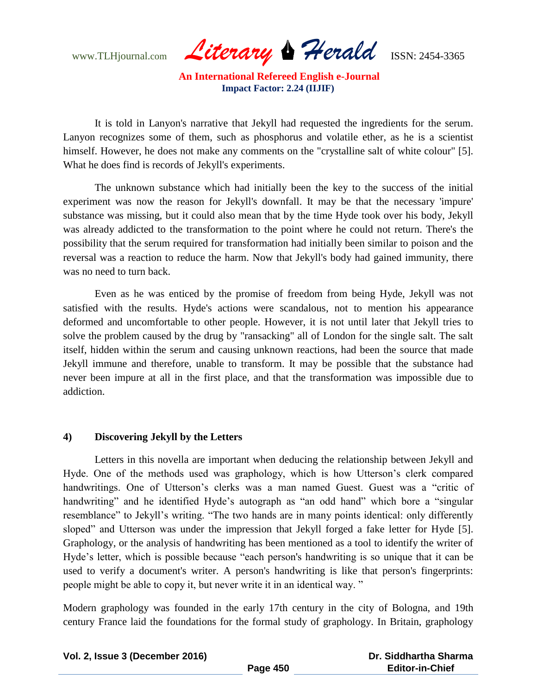www.TLHjournal.com *Literary Herald*ISSN: 2454-3365

It is told in Lanyon's narrative that Jekyll had requested the ingredients for the serum. Lanyon recognizes some of them, such as phosphorus and volatile ether, as he is a scientist himself. However, he does not make any comments on the "crystalline salt of white colour" [5]. What he does find is records of Jekyll's experiments.

The unknown substance which had initially been the key to the success of the initial experiment was now the reason for Jekyll's downfall. It may be that the necessary 'impure' substance was missing, but it could also mean that by the time Hyde took over his body, Jekyll was already addicted to the transformation to the point where he could not return. There's the possibility that the serum required for transformation had initially been similar to poison and the reversal was a reaction to reduce the harm. Now that Jekyll's body had gained immunity, there was no need to turn back.

Even as he was enticed by the promise of freedom from being Hyde, Jekyll was not satisfied with the results. Hyde's actions were scandalous, not to mention his appearance deformed and uncomfortable to other people. However, it is not until later that Jekyll tries to solve the problem caused by the drug by "ransacking" all of London for the single salt. The salt itself, hidden within the serum and causing unknown reactions, had been the source that made Jekyll immune and therefore, unable to transform. It may be possible that the substance had never been impure at all in the first place, and that the transformation was impossible due to addiction.

#### **4) Discovering Jekyll by the Letters**

Letters in this novella are important when deducing the relationship between Jekyll and Hyde. One of the methods used was graphology, which is how Utterson"s clerk compared handwritings. One of Utterson's clerks was a man named Guest. Guest was a "critic of handwriting" and he identified Hyde's autograph as "an odd hand" which bore a "singular resemblance" to Jekyll's writing. "The two hands are in many points identical: only differently sloped" and Utterson was under the impression that Jekyll forged a fake letter for Hyde [5]. Graphology, or the analysis of handwriting has been mentioned as a tool to identify the writer of Hyde"s letter, which is possible because "each person's handwriting is so unique that it can be used to verify a document's writer. A person's handwriting is like that person's fingerprints: people might be able to copy it, but never write it in an identical way. "

Modern graphology was founded in the early 17th century in the city of Bologna, and 19th century France laid the foundations for the formal study of graphology. In Britain, graphology

|  |  | Vol. 2, Issue 3 (December 2016) |  |
|--|--|---------------------------------|--|
|--|--|---------------------------------|--|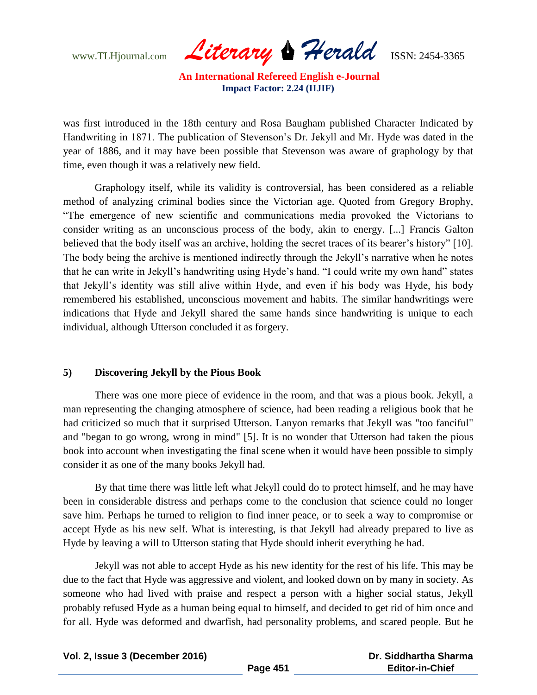www.TLHjournal.com *Literary Herald*ISSN: 2454-3365

was first introduced in the 18th century and Rosa Baugham published Character Indicated by Handwriting in 1871. The publication of Stevenson"s Dr. Jekyll and Mr. Hyde was dated in the year of 1886, and it may have been possible that Stevenson was aware of graphology by that time, even though it was a relatively new field.

Graphology itself, while its validity is controversial, has been considered as a reliable method of analyzing criminal bodies since the Victorian age. Quoted from Gregory Brophy, "The emergence of new scientific and communications media provoked the Victorians to consider writing as an unconscious process of the body, akin to energy. [...] Francis Galton believed that the body itself was an archive, holding the secret traces of its bearer's history" [10]. The body being the archive is mentioned indirectly through the Jekyll"s narrative when he notes that he can write in Jekyll"s handwriting using Hyde"s hand. "I could write my own hand" states that Jekyll"s identity was still alive within Hyde, and even if his body was Hyde, his body remembered his established, unconscious movement and habits. The similar handwritings were indications that Hyde and Jekyll shared the same hands since handwriting is unique to each individual, although Utterson concluded it as forgery.

### **5) Discovering Jekyll by the Pious Book**

There was one more piece of evidence in the room, and that was a pious book. Jekyll, a man representing the changing atmosphere of science, had been reading a religious book that he had criticized so much that it surprised Utterson. Lanyon remarks that Jekyll was "too fanciful" and "began to go wrong, wrong in mind" [5]. It is no wonder that Utterson had taken the pious book into account when investigating the final scene when it would have been possible to simply consider it as one of the many books Jekyll had.

By that time there was little left what Jekyll could do to protect himself, and he may have been in considerable distress and perhaps come to the conclusion that science could no longer save him. Perhaps he turned to religion to find inner peace, or to seek a way to compromise or accept Hyde as his new self. What is interesting, is that Jekyll had already prepared to live as Hyde by leaving a will to Utterson stating that Hyde should inherit everything he had.

Jekyll was not able to accept Hyde as his new identity for the rest of his life. This may be due to the fact that Hyde was aggressive and violent, and looked down on by many in society. As someone who had lived with praise and respect a person with a higher social status, Jekyll probably refused Hyde as a human being equal to himself, and decided to get rid of him once and for all. Hyde was deformed and dwarfish, had personality problems, and scared people. But he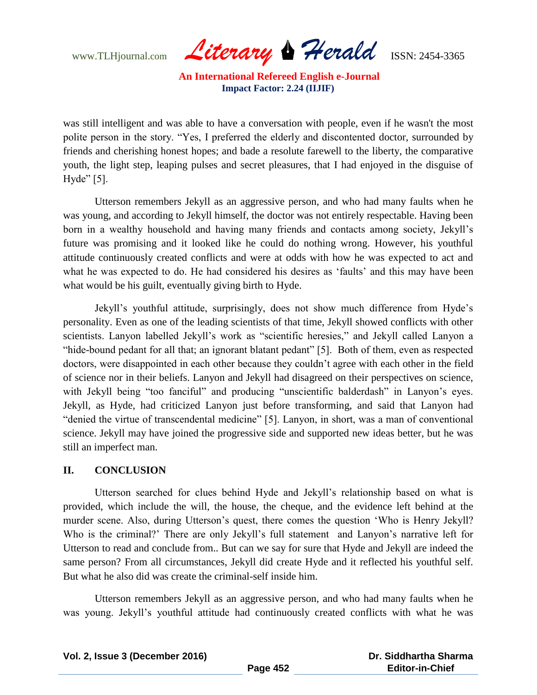www.TLHjournal.com *Literary Herald*ISSN: 2454-3365

was still intelligent and was able to have a conversation with people, even if he wasn't the most polite person in the story. "Yes, I preferred the elderly and discontented doctor, surrounded by friends and cherishing honest hopes; and bade a resolute farewell to the liberty, the comparative youth, the light step, leaping pulses and secret pleasures, that I had enjoyed in the disguise of Hyde" [5].

Utterson remembers Jekyll as an aggressive person, and who had many faults when he was young, and according to Jekyll himself, the doctor was not entirely respectable. Having been born in a wealthy household and having many friends and contacts among society, Jekyll"s future was promising and it looked like he could do nothing wrong. However, his youthful attitude continuously created conflicts and were at odds with how he was expected to act and what he was expected to do. He had considered his desires as 'faults' and this may have been what would be his guilt, eventually giving birth to Hyde.

Jekyll"s youthful attitude, surprisingly, does not show much difference from Hyde"s personality. Even as one of the leading scientists of that time, Jekyll showed conflicts with other scientists. Lanyon labelled Jekyll"s work as "scientific heresies," and Jekyll called Lanyon a "hide-bound pedant for all that; an ignorant blatant pedant" [5]. Both of them, even as respected doctors, were disappointed in each other because they couldn"t agree with each other in the field of science nor in their beliefs. Lanyon and Jekyll had disagreed on their perspectives on science, with Jekyll being "too fanciful" and producing "unscientific balderdash" in Lanyon's eyes. Jekyll, as Hyde, had criticized Lanyon just before transforming, and said that Lanyon had "denied the virtue of transcendental medicine" [5]. Lanyon, in short, was a man of conventional science. Jekyll may have joined the progressive side and supported new ideas better, but he was still an imperfect man.

### **II. CONCLUSION**

Utterson searched for clues behind Hyde and Jekyll"s relationship based on what is provided, which include the will, the house, the cheque, and the evidence left behind at the murder scene. Also, during Utterson's quest, there comes the question 'Who is Henry Jekyll? Who is the criminal? There are only Jekyll's full statement and Lanyon's narrative left for Utterson to read and conclude from.. But can we say for sure that Hyde and Jekyll are indeed the same person? From all circumstances, Jekyll did create Hyde and it reflected his youthful self. But what he also did was create the criminal-self inside him.

Utterson remembers Jekyll as an aggressive person, and who had many faults when he was young. Jekyll"s youthful attitude had continuously created conflicts with what he was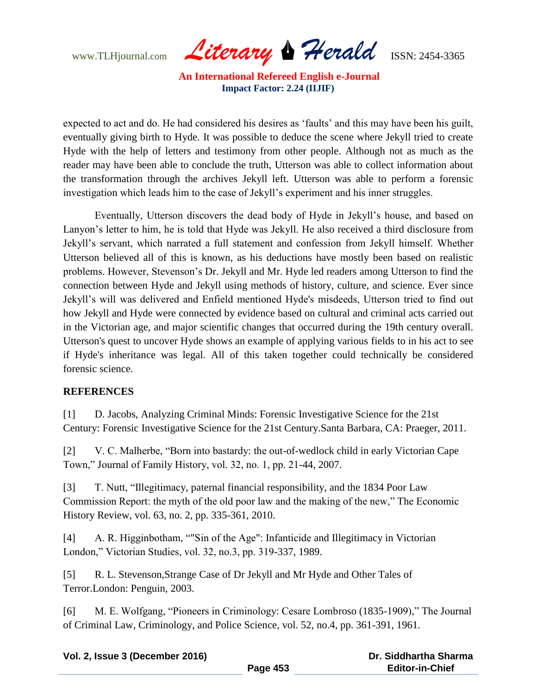www.TLHjournal.com *Literary Herald*ISSN: 2454-3365

expected to act and do. He had considered his desires as "faults" and this may have been his guilt, eventually giving birth to Hyde. It was possible to deduce the scene where Jekyll tried to create Hyde with the help of letters and testimony from other people. Although not as much as the reader may have been able to conclude the truth, Utterson was able to collect information about the transformation through the archives Jekyll left. Utterson was able to perform a forensic investigation which leads him to the case of Jekyll"s experiment and his inner struggles.

Eventually, Utterson discovers the dead body of Hyde in Jekyll"s house, and based on Lanyon"s letter to him, he is told that Hyde was Jekyll. He also received a third disclosure from Jekyll"s servant, which narrated a full statement and confession from Jekyll himself. Whether Utterson believed all of this is known, as his deductions have mostly been based on realistic problems. However, Stevenson"s Dr. Jekyll and Mr. Hyde led readers among Utterson to find the connection between Hyde and Jekyll using methods of history, culture, and science. Ever since Jekyll"s will was delivered and Enfield mentioned Hyde's misdeeds, Utterson tried to find out how Jekyll and Hyde were connected by evidence based on cultural and criminal acts carried out in the Victorian age, and major scientific changes that occurred during the 19th century overall. Utterson's quest to uncover Hyde shows an example of applying various fields to in his act to see if Hyde's inheritance was legal. All of this taken together could technically be considered forensic science.

## **REFERENCES**

[1] D. Jacobs, Analyzing Criminal Minds: Forensic Investigative Science for the 21st Century: Forensic Investigative Science for the 21st Century.Santa Barbara, CA: Praeger, 2011.

[2] V. C. Malherbe, "Born into bastardy: the out-of-wedlock child in early Victorian Cape Town," Journal of Family History, vol. 32, no. 1, pp. 21-44, 2007.

[3] T. Nutt, "Illegitimacy, paternal financial responsibility, and the 1834 Poor Law Commission Report: the myth of the old poor law and the making of the new," The Economic History Review, vol. 63, no. 2, pp. 335-361, 2010.

[4] A. R. Higginbotham, ""Sin of the Age": Infanticide and Illegitimacy in Victorian London," Victorian Studies, vol. 32, no.3, pp. 319-337, 1989.

[5] R. L. Stevenson,Strange Case of Dr Jekyll and Mr Hyde and Other Tales of Terror.London: Penguin, 2003.

[6] M. E. Wolfgang, "Pioneers in Criminology: Cesare Lombroso (1835-1909)," The Journal of Criminal Law, Criminology, and Police Science, vol. 52, no.4, pp. 361-391, 1961.

| Vol. 2, Issue 3 (December 2016) |  |
|---------------------------------|--|
|                                 |  |

### **Dr. Siddhartha Sharma Editor-in-Chief**